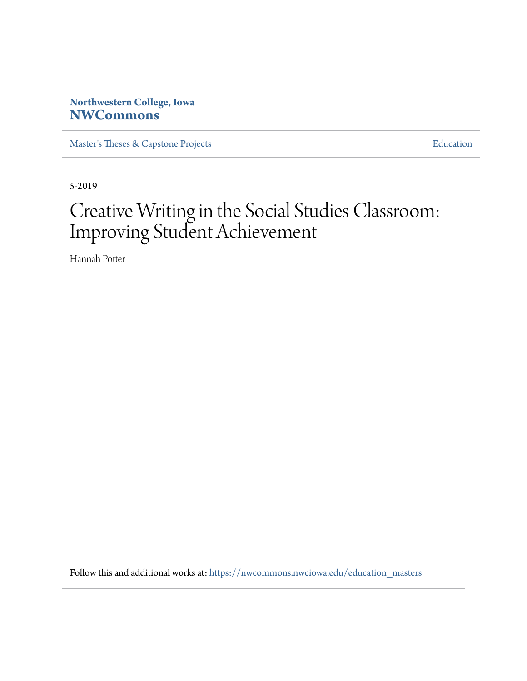## **Northwestern College, Iowa [NWCommons](https://nwcommons.nwciowa.edu?utm_source=nwcommons.nwciowa.edu%2Feducation_masters%2F133&utm_medium=PDF&utm_campaign=PDFCoverPages)**

[Master's Theses & Capstone Projects](https://nwcommons.nwciowa.edu/education_masters?utm_source=nwcommons.nwciowa.edu%2Feducation_masters%2F133&utm_medium=PDF&utm_campaign=PDFCoverPages) **[Education](https://nwcommons.nwciowa.edu/education?utm_source=nwcommons.nwciowa.edu%2Feducation_masters%2F133&utm_medium=PDF&utm_campaign=PDFCoverPages)** 

5-2019

# Creative Writing in the Social Studies Classroom: Improving Student Achievement

Hannah Potter

Follow this and additional works at: [https://nwcommons.nwciowa.edu/education\\_masters](https://nwcommons.nwciowa.edu/education_masters?utm_source=nwcommons.nwciowa.edu%2Feducation_masters%2F133&utm_medium=PDF&utm_campaign=PDFCoverPages)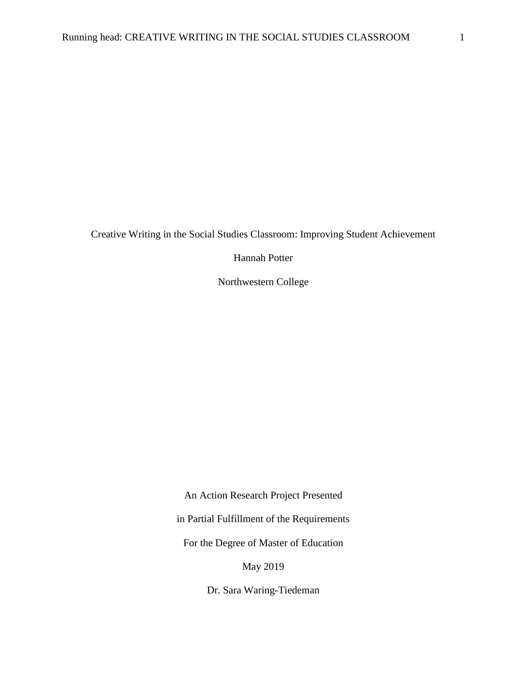Creative Writing in the Social Studies Classroom: Improving Student Achievement

Hannah Potter

Northwestern College

An Action Research Project Presented in Partial Fulfillment of the Requirements For the Degree of Master of Education

May 2019

Dr. Sara Waring-Tiedeman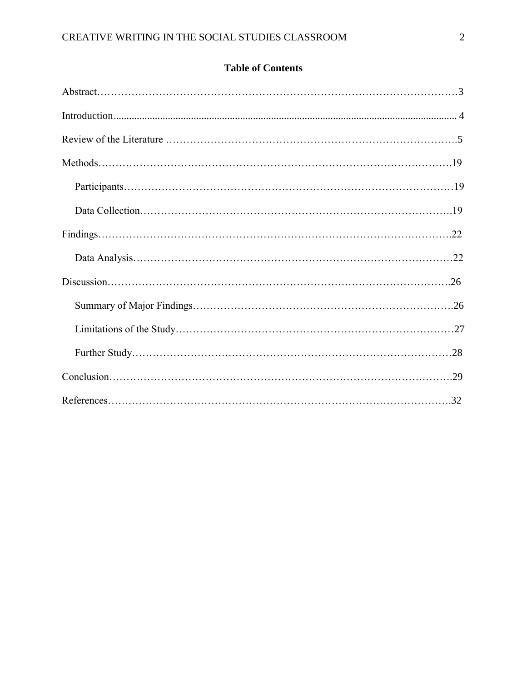## **Table of Contents**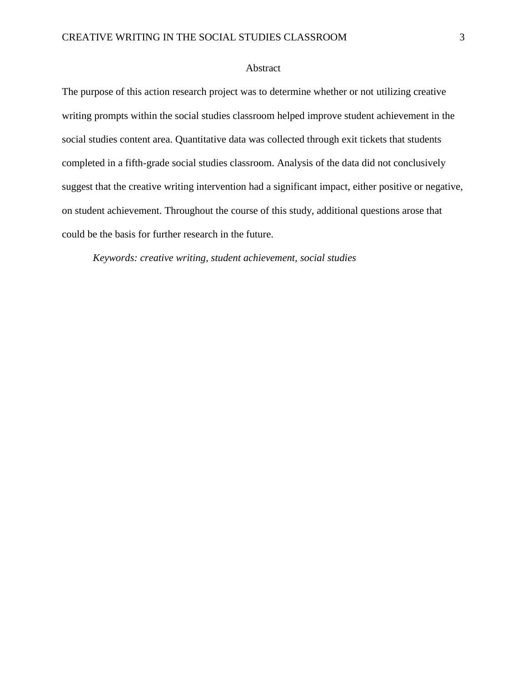#### Abstract

The purpose of this action research project was to determine whether or not utilizing creative writing prompts within the social studies classroom helped improve student achievement in the social studies content area. Quantitative data was collected through exit tickets that students completed in a fifth-grade social studies classroom. Analysis of the data did not conclusively suggest that the creative writing intervention had a significant impact, either positive or negative, on student achievement. Throughout the course of this study, additional questions arose that could be the basis for further research in the future.

*Keywords: creative writing, student achievement, social studies*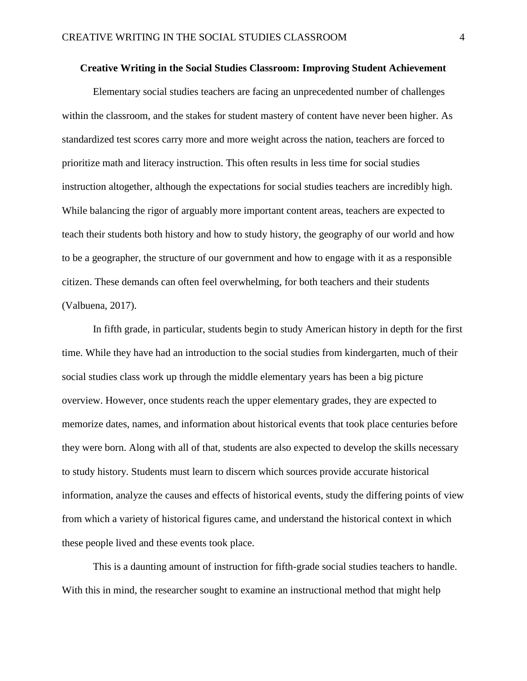#### **Creative Writing in the Social Studies Classroom: Improving Student Achievement**

Elementary social studies teachers are facing an unprecedented number of challenges within the classroom, and the stakes for student mastery of content have never been higher. As standardized test scores carry more and more weight across the nation, teachers are forced to prioritize math and literacy instruction. This often results in less time for social studies instruction altogether, although the expectations for social studies teachers are incredibly high. While balancing the rigor of arguably more important content areas, teachers are expected to teach their students both history and how to study history, the geography of our world and how to be a geographer, the structure of our government and how to engage with it as a responsible citizen. These demands can often feel overwhelming, for both teachers and their students (Valbuena, 2017).

In fifth grade, in particular, students begin to study American history in depth for the first time. While they have had an introduction to the social studies from kindergarten, much of their social studies class work up through the middle elementary years has been a big picture overview. However, once students reach the upper elementary grades, they are expected to memorize dates, names, and information about historical events that took place centuries before they were born. Along with all of that, students are also expected to develop the skills necessary to study history. Students must learn to discern which sources provide accurate historical information, analyze the causes and effects of historical events, study the differing points of view from which a variety of historical figures came, and understand the historical context in which these people lived and these events took place.

This is a daunting amount of instruction for fifth-grade social studies teachers to handle. With this in mind, the researcher sought to examine an instructional method that might help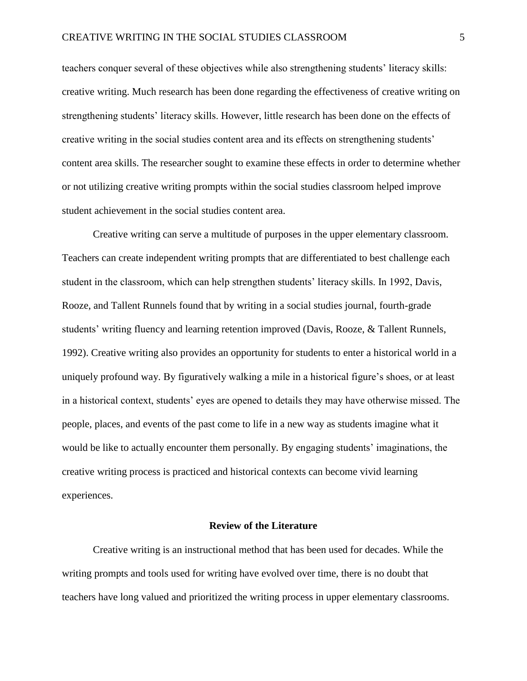teachers conquer several of these objectives while also strengthening students' literacy skills: creative writing. Much research has been done regarding the effectiveness of creative writing on strengthening students' literacy skills. However, little research has been done on the effects of creative writing in the social studies content area and its effects on strengthening students' content area skills. The researcher sought to examine these effects in order to determine whether or not utilizing creative writing prompts within the social studies classroom helped improve student achievement in the social studies content area.

Creative writing can serve a multitude of purposes in the upper elementary classroom. Teachers can create independent writing prompts that are differentiated to best challenge each student in the classroom, which can help strengthen students' literacy skills. In 1992, Davis, Rooze, and Tallent Runnels found that by writing in a social studies journal, fourth-grade students' writing fluency and learning retention improved (Davis, Rooze, & Tallent Runnels, 1992). Creative writing also provides an opportunity for students to enter a historical world in a uniquely profound way. By figuratively walking a mile in a historical figure's shoes, or at least in a historical context, students' eyes are opened to details they may have otherwise missed. The people, places, and events of the past come to life in a new way as students imagine what it would be like to actually encounter them personally. By engaging students' imaginations, the creative writing process is practiced and historical contexts can become vivid learning experiences.

#### **Review of the Literature**

Creative writing is an instructional method that has been used for decades. While the writing prompts and tools used for writing have evolved over time, there is no doubt that teachers have long valued and prioritized the writing process in upper elementary classrooms.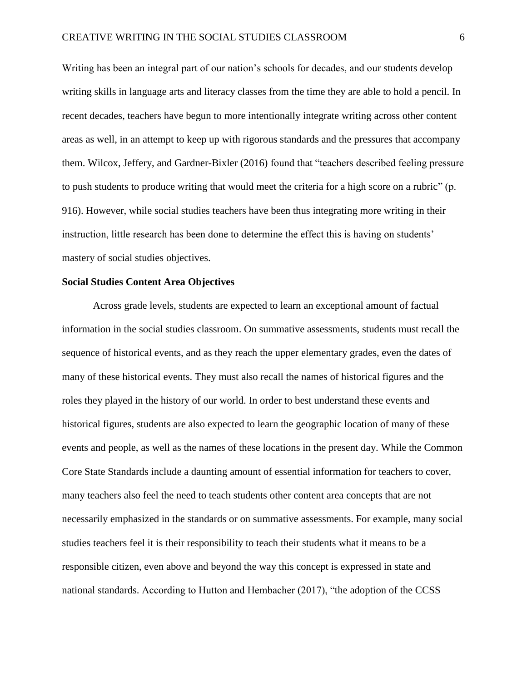Writing has been an integral part of our nation's schools for decades, and our students develop writing skills in language arts and literacy classes from the time they are able to hold a pencil. In recent decades, teachers have begun to more intentionally integrate writing across other content areas as well, in an attempt to keep up with rigorous standards and the pressures that accompany them. Wilcox, Jeffery, and Gardner-Bixler (2016) found that "teachers described feeling pressure to push students to produce writing that would meet the criteria for a high score on a rubric" (p. 916). However, while social studies teachers have been thus integrating more writing in their instruction, little research has been done to determine the effect this is having on students' mastery of social studies objectives.

#### **Social Studies Content Area Objectives**

Across grade levels, students are expected to learn an exceptional amount of factual information in the social studies classroom. On summative assessments, students must recall the sequence of historical events, and as they reach the upper elementary grades, even the dates of many of these historical events. They must also recall the names of historical figures and the roles they played in the history of our world. In order to best understand these events and historical figures, students are also expected to learn the geographic location of many of these events and people, as well as the names of these locations in the present day. While the Common Core State Standards include a daunting amount of essential information for teachers to cover, many teachers also feel the need to teach students other content area concepts that are not necessarily emphasized in the standards or on summative assessments. For example, many social studies teachers feel it is their responsibility to teach their students what it means to be a responsible citizen, even above and beyond the way this concept is expressed in state and national standards. According to Hutton and Hembacher (2017), "the adoption of the CCSS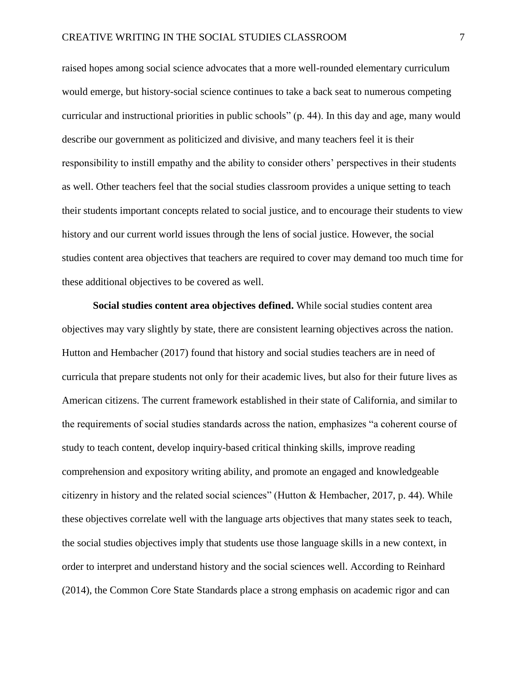raised hopes among social science advocates that a more well-rounded elementary curriculum would emerge, but history-social science continues to take a back seat to numerous competing curricular and instructional priorities in public schools" (p. 44). In this day and age, many would describe our government as politicized and divisive, and many teachers feel it is their responsibility to instill empathy and the ability to consider others' perspectives in their students as well. Other teachers feel that the social studies classroom provides a unique setting to teach their students important concepts related to social justice, and to encourage their students to view history and our current world issues through the lens of social justice. However, the social studies content area objectives that teachers are required to cover may demand too much time for these additional objectives to be covered as well.

**Social studies content area objectives defined.** While social studies content area objectives may vary slightly by state, there are consistent learning objectives across the nation. Hutton and Hembacher (2017) found that history and social studies teachers are in need of curricula that prepare students not only for their academic lives, but also for their future lives as American citizens. The current framework established in their state of California, and similar to the requirements of social studies standards across the nation, emphasizes "a coherent course of study to teach content, develop inquiry-based critical thinking skills, improve reading comprehension and expository writing ability, and promote an engaged and knowledgeable citizenry in history and the related social sciences" (Hutton & Hembacher, 2017, p. 44). While these objectives correlate well with the language arts objectives that many states seek to teach, the social studies objectives imply that students use those language skills in a new context, in order to interpret and understand history and the social sciences well. According to Reinhard (2014), the Common Core State Standards place a strong emphasis on academic rigor and can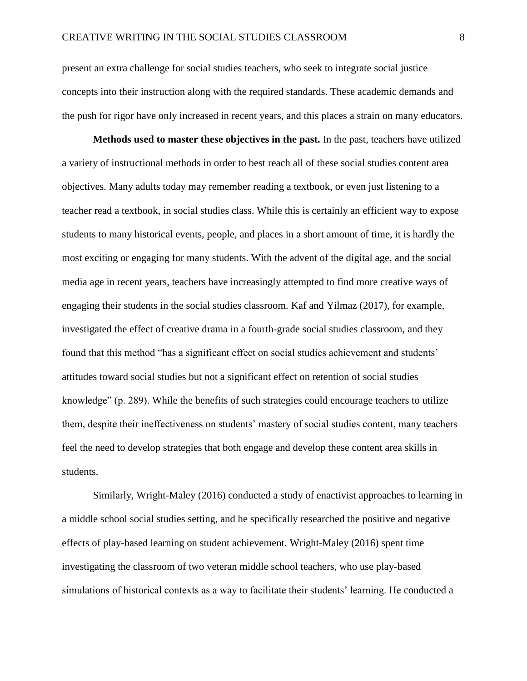present an extra challenge for social studies teachers, who seek to integrate social justice concepts into their instruction along with the required standards. These academic demands and the push for rigor have only increased in recent years, and this places a strain on many educators.

**Methods used to master these objectives in the past.** In the past, teachers have utilized a variety of instructional methods in order to best reach all of these social studies content area objectives. Many adults today may remember reading a textbook, or even just listening to a teacher read a textbook, in social studies class. While this is certainly an efficient way to expose students to many historical events, people, and places in a short amount of time, it is hardly the most exciting or engaging for many students. With the advent of the digital age, and the social media age in recent years, teachers have increasingly attempted to find more creative ways of engaging their students in the social studies classroom. Kaf and Yilmaz (2017), for example, investigated the effect of creative drama in a fourth-grade social studies classroom, and they found that this method "has a significant effect on social studies achievement and students' attitudes toward social studies but not a significant effect on retention of social studies knowledge" (p. 289). While the benefits of such strategies could encourage teachers to utilize them, despite their ineffectiveness on students' mastery of social studies content, many teachers feel the need to develop strategies that both engage and develop these content area skills in students.

Similarly, Wright-Maley (2016) conducted a study of enactivist approaches to learning in a middle school social studies setting, and he specifically researched the positive and negative effects of play-based learning on student achievement. Wright-Maley (2016) spent time investigating the classroom of two veteran middle school teachers, who use play-based simulations of historical contexts as a way to facilitate their students' learning. He conducted a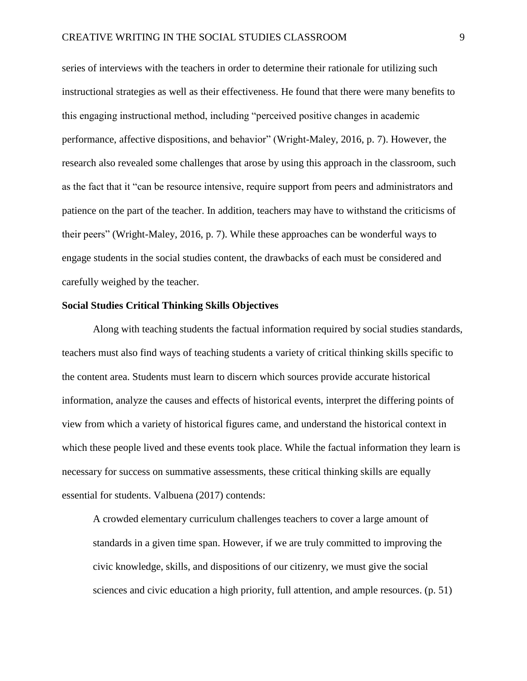series of interviews with the teachers in order to determine their rationale for utilizing such instructional strategies as well as their effectiveness. He found that there were many benefits to this engaging instructional method, including "perceived positive changes in academic performance, affective dispositions, and behavior" (Wright-Maley, 2016, p. 7). However, the research also revealed some challenges that arose by using this approach in the classroom, such as the fact that it "can be resource intensive, require support from peers and administrators and patience on the part of the teacher. In addition, teachers may have to withstand the criticisms of their peers" (Wright-Maley, 2016, p. 7). While these approaches can be wonderful ways to engage students in the social studies content, the drawbacks of each must be considered and carefully weighed by the teacher.

#### **Social Studies Critical Thinking Skills Objectives**

Along with teaching students the factual information required by social studies standards, teachers must also find ways of teaching students a variety of critical thinking skills specific to the content area. Students must learn to discern which sources provide accurate historical information, analyze the causes and effects of historical events, interpret the differing points of view from which a variety of historical figures came, and understand the historical context in which these people lived and these events took place. While the factual information they learn is necessary for success on summative assessments, these critical thinking skills are equally essential for students. Valbuena (2017) contends:

A crowded elementary curriculum challenges teachers to cover a large amount of standards in a given time span. However, if we are truly committed to improving the civic knowledge, skills, and dispositions of our citizenry, we must give the social sciences and civic education a high priority, full attention, and ample resources. (p. 51)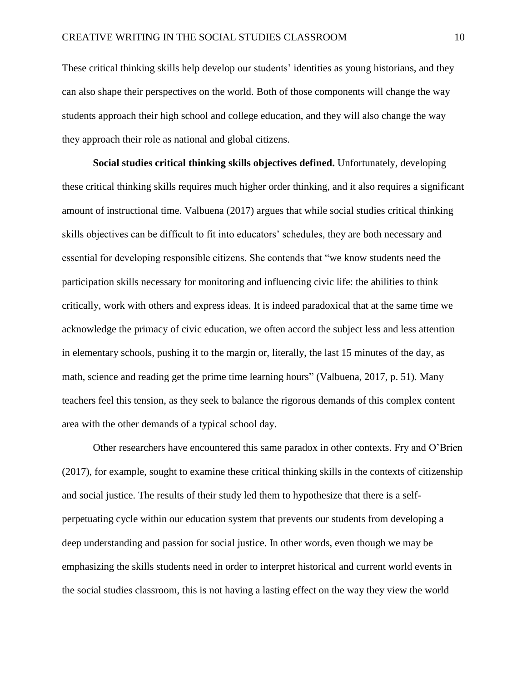These critical thinking skills help develop our students' identities as young historians, and they can also shape their perspectives on the world. Both of those components will change the way students approach their high school and college education, and they will also change the way they approach their role as national and global citizens.

**Social studies critical thinking skills objectives defined.** Unfortunately, developing these critical thinking skills requires much higher order thinking, and it also requires a significant amount of instructional time. Valbuena (2017) argues that while social studies critical thinking skills objectives can be difficult to fit into educators' schedules, they are both necessary and essential for developing responsible citizens. She contends that "we know students need the participation skills necessary for monitoring and influencing civic life: the abilities to think critically, work with others and express ideas. It is indeed paradoxical that at the same time we acknowledge the primacy of civic education, we often accord the subject less and less attention in elementary schools, pushing it to the margin or, literally, the last 15 minutes of the day, as math, science and reading get the prime time learning hours" (Valbuena, 2017, p. 51). Many teachers feel this tension, as they seek to balance the rigorous demands of this complex content area with the other demands of a typical school day.

Other researchers have encountered this same paradox in other contexts. Fry and O'Brien (2017), for example, sought to examine these critical thinking skills in the contexts of citizenship and social justice. The results of their study led them to hypothesize that there is a selfperpetuating cycle within our education system that prevents our students from developing a deep understanding and passion for social justice. In other words, even though we may be emphasizing the skills students need in order to interpret historical and current world events in the social studies classroom, this is not having a lasting effect on the way they view the world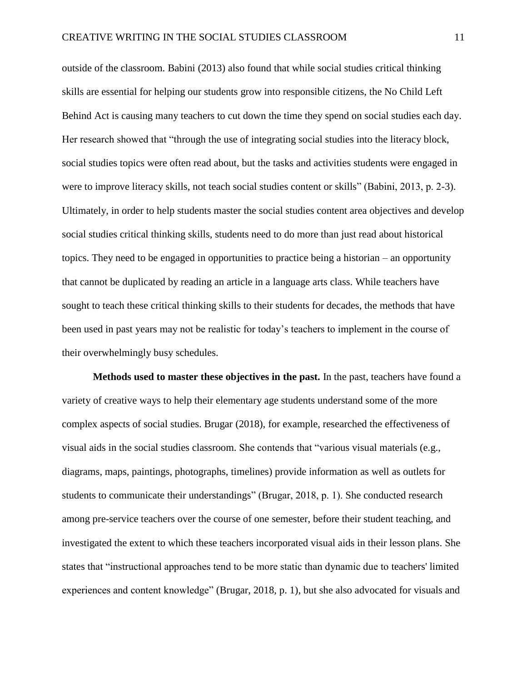outside of the classroom. Babini (2013) also found that while social studies critical thinking skills are essential for helping our students grow into responsible citizens, the No Child Left Behind Act is causing many teachers to cut down the time they spend on social studies each day. Her research showed that "through the use of integrating social studies into the literacy block, social studies topics were often read about, but the tasks and activities students were engaged in were to improve literacy skills, not teach social studies content or skills" (Babini, 2013, p. 2-3). Ultimately, in order to help students master the social studies content area objectives and develop social studies critical thinking skills, students need to do more than just read about historical topics. They need to be engaged in opportunities to practice being a historian – an opportunity that cannot be duplicated by reading an article in a language arts class. While teachers have sought to teach these critical thinking skills to their students for decades, the methods that have been used in past years may not be realistic for today's teachers to implement in the course of their overwhelmingly busy schedules.

**Methods used to master these objectives in the past.** In the past, teachers have found a variety of creative ways to help their elementary age students understand some of the more complex aspects of social studies. Brugar (2018), for example, researched the effectiveness of visual aids in the social studies classroom. She contends that "various visual materials (e.g., diagrams, maps, paintings, photographs, timelines) provide information as well as outlets for students to communicate their understandings" (Brugar, 2018, p. 1). She conducted research among pre-service teachers over the course of one semester, before their student teaching, and investigated the extent to which these teachers incorporated visual aids in their lesson plans. She states that "instructional approaches tend to be more static than dynamic due to teachers' limited experiences and content knowledge" (Brugar, 2018, p. 1), but she also advocated for visuals and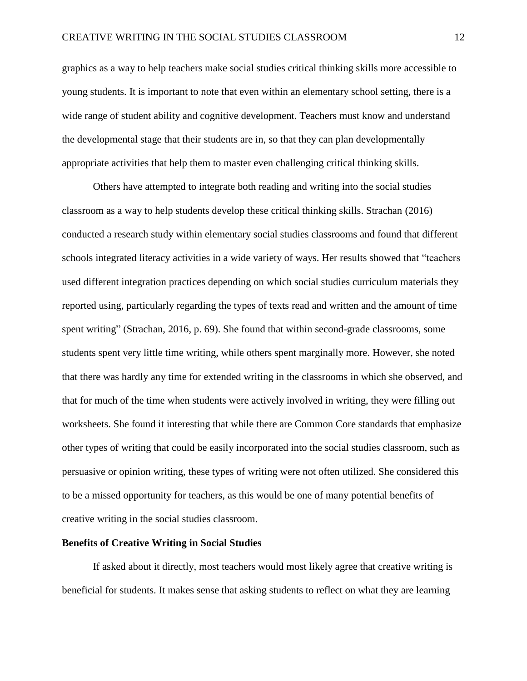graphics as a way to help teachers make social studies critical thinking skills more accessible to young students. It is important to note that even within an elementary school setting, there is a wide range of student ability and cognitive development. Teachers must know and understand the developmental stage that their students are in, so that they can plan developmentally appropriate activities that help them to master even challenging critical thinking skills.

Others have attempted to integrate both reading and writing into the social studies classroom as a way to help students develop these critical thinking skills. Strachan (2016) conducted a research study within elementary social studies classrooms and found that different schools integrated literacy activities in a wide variety of ways. Her results showed that "teachers used different integration practices depending on which social studies curriculum materials they reported using, particularly regarding the types of texts read and written and the amount of time spent writing" (Strachan, 2016, p. 69). She found that within second-grade classrooms, some students spent very little time writing, while others spent marginally more. However, she noted that there was hardly any time for extended writing in the classrooms in which she observed, and that for much of the time when students were actively involved in writing, they were filling out worksheets. She found it interesting that while there are Common Core standards that emphasize other types of writing that could be easily incorporated into the social studies classroom, such as persuasive or opinion writing, these types of writing were not often utilized. She considered this to be a missed opportunity for teachers, as this would be one of many potential benefits of creative writing in the social studies classroom.

#### **Benefits of Creative Writing in Social Studies**

If asked about it directly, most teachers would most likely agree that creative writing is beneficial for students. It makes sense that asking students to reflect on what they are learning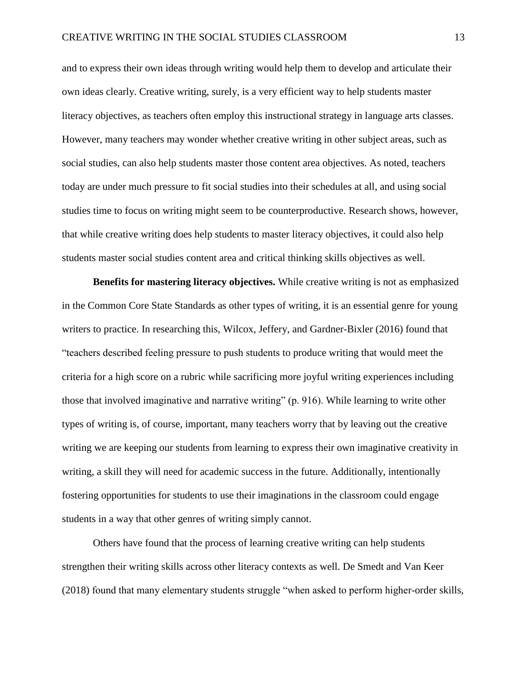and to express their own ideas through writing would help them to develop and articulate their own ideas clearly. Creative writing, surely, is a very efficient way to help students master literacy objectives, as teachers often employ this instructional strategy in language arts classes. However, many teachers may wonder whether creative writing in other subject areas, such as social studies, can also help students master those content area objectives. As noted, teachers today are under much pressure to fit social studies into their schedules at all, and using social studies time to focus on writing might seem to be counterproductive. Research shows, however, that while creative writing does help students to master literacy objectives, it could also help students master social studies content area and critical thinking skills objectives as well.

**Benefits for mastering literacy objectives.** While creative writing is not as emphasized in the Common Core State Standards as other types of writing, it is an essential genre for young writers to practice. In researching this, Wilcox, Jeffery, and Gardner-Bixler (2016) found that "teachers described feeling pressure to push students to produce writing that would meet the criteria for a high score on a rubric while sacrificing more joyful writing experiences including those that involved imaginative and narrative writing" (p. 916). While learning to write other types of writing is, of course, important, many teachers worry that by leaving out the creative writing we are keeping our students from learning to express their own imaginative creativity in writing, a skill they will need for academic success in the future. Additionally, intentionally fostering opportunities for students to use their imaginations in the classroom could engage students in a way that other genres of writing simply cannot.

Others have found that the process of learning creative writing can help students strengthen their writing skills across other literacy contexts as well. De Smedt and Van Keer (2018) found that many elementary students struggle "when asked to perform higher-order skills,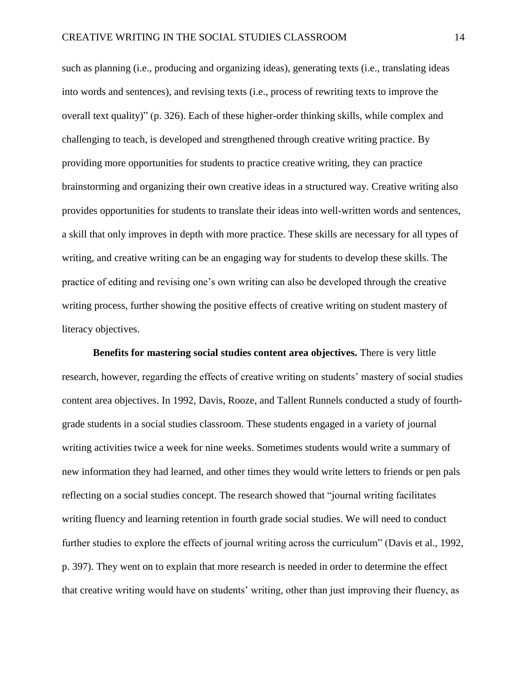such as planning (i.e., producing and organizing ideas), generating texts (i.e., translating ideas into words and sentences), and revising texts (i.e., process of rewriting texts to improve the overall text quality)" (p. 326). Each of these higher-order thinking skills, while complex and challenging to teach, is developed and strengthened through creative writing practice. By providing more opportunities for students to practice creative writing, they can practice brainstorming and organizing their own creative ideas in a structured way. Creative writing also provides opportunities for students to translate their ideas into well-written words and sentences, a skill that only improves in depth with more practice. These skills are necessary for all types of writing, and creative writing can be an engaging way for students to develop these skills. The practice of editing and revising one's own writing can also be developed through the creative writing process, further showing the positive effects of creative writing on student mastery of literacy objectives.

**Benefits for mastering social studies content area objectives.** There is very little research, however, regarding the effects of creative writing on students' mastery of social studies content area objectives. In 1992, Davis, Rooze, and Tallent Runnels conducted a study of fourthgrade students in a social studies classroom. These students engaged in a variety of journal writing activities twice a week for nine weeks. Sometimes students would write a summary of new information they had learned, and other times they would write letters to friends or pen pals reflecting on a social studies concept. The research showed that "journal writing facilitates writing fluency and learning retention in fourth grade social studies. We will need to conduct further studies to explore the effects of journal writing across the curriculum" (Davis et al., 1992, p. 397). They went on to explain that more research is needed in order to determine the effect that creative writing would have on students' writing, other than just improving their fluency, as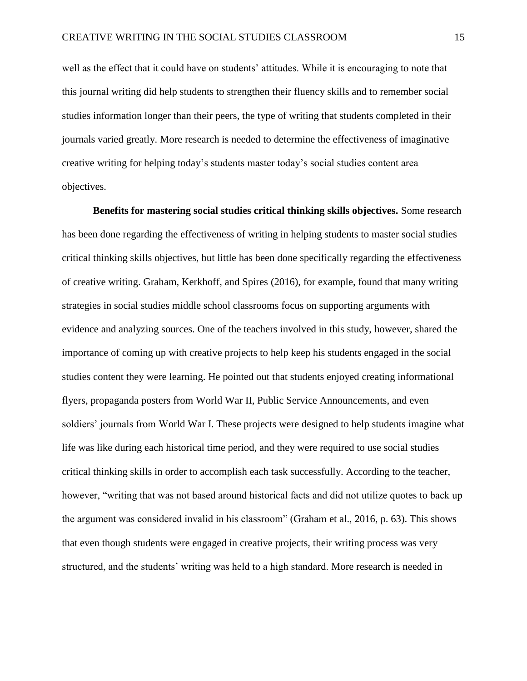well as the effect that it could have on students' attitudes. While it is encouraging to note that this journal writing did help students to strengthen their fluency skills and to remember social studies information longer than their peers, the type of writing that students completed in their journals varied greatly. More research is needed to determine the effectiveness of imaginative creative writing for helping today's students master today's social studies content area objectives.

**Benefits for mastering social studies critical thinking skills objectives.** Some research has been done regarding the effectiveness of writing in helping students to master social studies critical thinking skills objectives, but little has been done specifically regarding the effectiveness of creative writing. Graham, Kerkhoff, and Spires (2016), for example, found that many writing strategies in social studies middle school classrooms focus on supporting arguments with evidence and analyzing sources. One of the teachers involved in this study, however, shared the importance of coming up with creative projects to help keep his students engaged in the social studies content they were learning. He pointed out that students enjoyed creating informational flyers, propaganda posters from World War II, Public Service Announcements, and even soldiers' journals from World War I. These projects were designed to help students imagine what life was like during each historical time period, and they were required to use social studies critical thinking skills in order to accomplish each task successfully. According to the teacher, however, "writing that was not based around historical facts and did not utilize quotes to back up the argument was considered invalid in his classroom" (Graham et al., 2016, p. 63). This shows that even though students were engaged in creative projects, their writing process was very structured, and the students' writing was held to a high standard. More research is needed in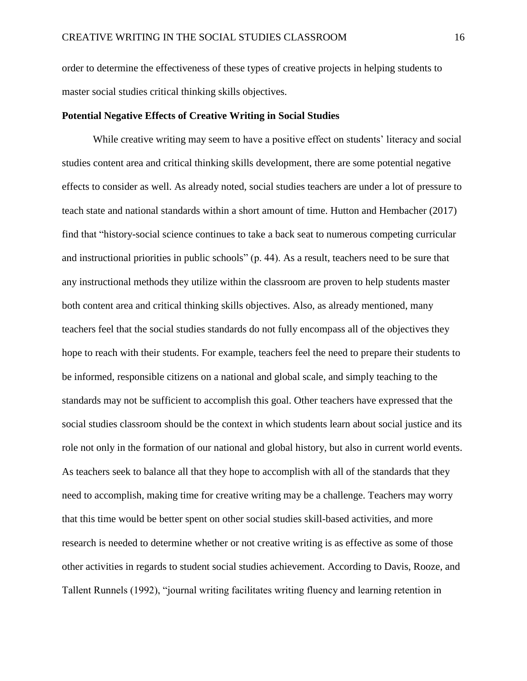order to determine the effectiveness of these types of creative projects in helping students to master social studies critical thinking skills objectives.

#### **Potential Negative Effects of Creative Writing in Social Studies**

While creative writing may seem to have a positive effect on students' literacy and social studies content area and critical thinking skills development, there are some potential negative effects to consider as well. As already noted, social studies teachers are under a lot of pressure to teach state and national standards within a short amount of time. Hutton and Hembacher (2017) find that "history-social science continues to take a back seat to numerous competing curricular and instructional priorities in public schools" (p. 44). As a result, teachers need to be sure that any instructional methods they utilize within the classroom are proven to help students master both content area and critical thinking skills objectives. Also, as already mentioned, many teachers feel that the social studies standards do not fully encompass all of the objectives they hope to reach with their students. For example, teachers feel the need to prepare their students to be informed, responsible citizens on a national and global scale, and simply teaching to the standards may not be sufficient to accomplish this goal. Other teachers have expressed that the social studies classroom should be the context in which students learn about social justice and its role not only in the formation of our national and global history, but also in current world events. As teachers seek to balance all that they hope to accomplish with all of the standards that they need to accomplish, making time for creative writing may be a challenge. Teachers may worry that this time would be better spent on other social studies skill-based activities, and more research is needed to determine whether or not creative writing is as effective as some of those other activities in regards to student social studies achievement. According to Davis, Rooze, and Tallent Runnels (1992), "journal writing facilitates writing fluency and learning retention in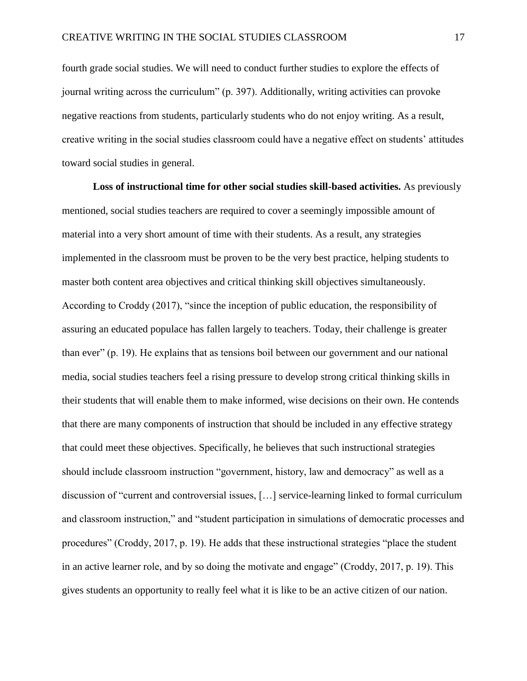fourth grade social studies. We will need to conduct further studies to explore the effects of journal writing across the curriculum" (p. 397). Additionally, writing activities can provoke negative reactions from students, particularly students who do not enjoy writing. As a result, creative writing in the social studies classroom could have a negative effect on students' attitudes toward social studies in general.

**Loss of instructional time for other social studies skill-based activities.** As previously mentioned, social studies teachers are required to cover a seemingly impossible amount of material into a very short amount of time with their students. As a result, any strategies implemented in the classroom must be proven to be the very best practice, helping students to master both content area objectives and critical thinking skill objectives simultaneously. According to Croddy (2017), "since the inception of public education, the responsibility of assuring an educated populace has fallen largely to teachers. Today, their challenge is greater than ever" (p. 19). He explains that as tensions boil between our government and our national media, social studies teachers feel a rising pressure to develop strong critical thinking skills in their students that will enable them to make informed, wise decisions on their own. He contends that there are many components of instruction that should be included in any effective strategy that could meet these objectives. Specifically, he believes that such instructional strategies should include classroom instruction "government, history, law and democracy" as well as a discussion of "current and controversial issues, […] service-learning linked to formal curriculum and classroom instruction," and "student participation in simulations of democratic processes and procedures" (Croddy, 2017, p. 19). He adds that these instructional strategies "place the student in an active learner role, and by so doing the motivate and engage" (Croddy, 2017, p. 19). This gives students an opportunity to really feel what it is like to be an active citizen of our nation.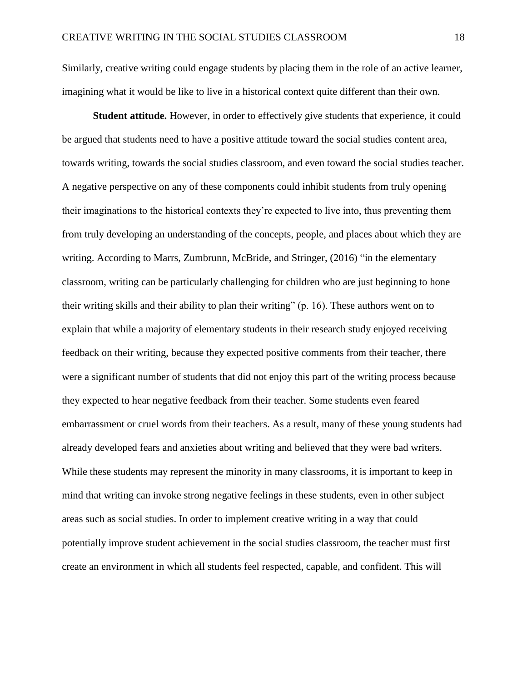Similarly, creative writing could engage students by placing them in the role of an active learner, imagining what it would be like to live in a historical context quite different than their own.

**Student attitude.** However, in order to effectively give students that experience, it could be argued that students need to have a positive attitude toward the social studies content area, towards writing, towards the social studies classroom, and even toward the social studies teacher. A negative perspective on any of these components could inhibit students from truly opening their imaginations to the historical contexts they're expected to live into, thus preventing them from truly developing an understanding of the concepts, people, and places about which they are writing. According to Marrs, Zumbrunn, McBride, and Stringer, (2016) "in the elementary classroom, writing can be particularly challenging for children who are just beginning to hone their writing skills and their ability to plan their writing" (p. 16). These authors went on to explain that while a majority of elementary students in their research study enjoyed receiving feedback on their writing, because they expected positive comments from their teacher, there were a significant number of students that did not enjoy this part of the writing process because they expected to hear negative feedback from their teacher. Some students even feared embarrassment or cruel words from their teachers. As a result, many of these young students had already developed fears and anxieties about writing and believed that they were bad writers. While these students may represent the minority in many classrooms, it is important to keep in mind that writing can invoke strong negative feelings in these students, even in other subject areas such as social studies. In order to implement creative writing in a way that could potentially improve student achievement in the social studies classroom, the teacher must first create an environment in which all students feel respected, capable, and confident. This will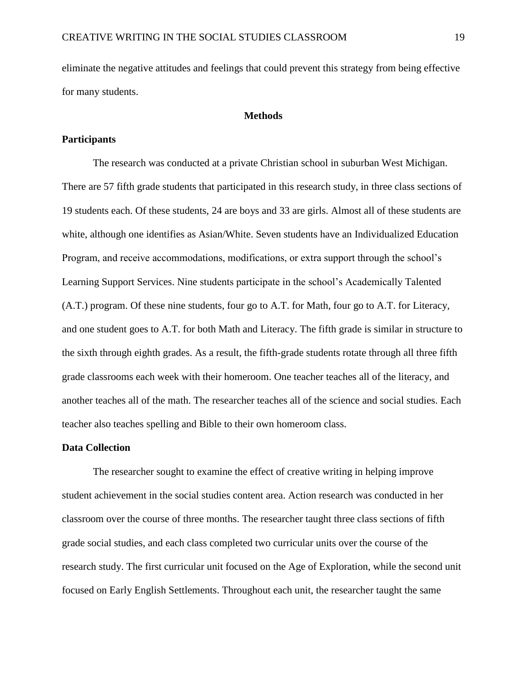eliminate the negative attitudes and feelings that could prevent this strategy from being effective for many students.

#### **Methods**

#### **Participants**

The research was conducted at a private Christian school in suburban West Michigan. There are 57 fifth grade students that participated in this research study, in three class sections of 19 students each. Of these students, 24 are boys and 33 are girls. Almost all of these students are white, although one identifies as Asian/White. Seven students have an Individualized Education Program, and receive accommodations, modifications, or extra support through the school's Learning Support Services. Nine students participate in the school's Academically Talented (A.T.) program. Of these nine students, four go to A.T. for Math, four go to A.T. for Literacy, and one student goes to A.T. for both Math and Literacy. The fifth grade is similar in structure to the sixth through eighth grades. As a result, the fifth-grade students rotate through all three fifth grade classrooms each week with their homeroom. One teacher teaches all of the literacy, and another teaches all of the math. The researcher teaches all of the science and social studies. Each teacher also teaches spelling and Bible to their own homeroom class.

#### **Data Collection**

The researcher sought to examine the effect of creative writing in helping improve student achievement in the social studies content area. Action research was conducted in her classroom over the course of three months. The researcher taught three class sections of fifth grade social studies, and each class completed two curricular units over the course of the research study. The first curricular unit focused on the Age of Exploration, while the second unit focused on Early English Settlements. Throughout each unit, the researcher taught the same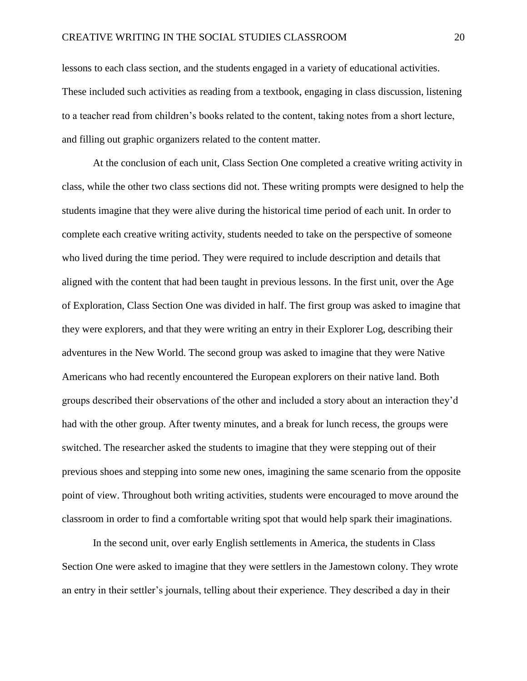lessons to each class section, and the students engaged in a variety of educational activities. These included such activities as reading from a textbook, engaging in class discussion, listening to a teacher read from children's books related to the content, taking notes from a short lecture, and filling out graphic organizers related to the content matter.

At the conclusion of each unit, Class Section One completed a creative writing activity in class, while the other two class sections did not. These writing prompts were designed to help the students imagine that they were alive during the historical time period of each unit. In order to complete each creative writing activity, students needed to take on the perspective of someone who lived during the time period. They were required to include description and details that aligned with the content that had been taught in previous lessons. In the first unit, over the Age of Exploration, Class Section One was divided in half. The first group was asked to imagine that they were explorers, and that they were writing an entry in their Explorer Log, describing their adventures in the New World. The second group was asked to imagine that they were Native Americans who had recently encountered the European explorers on their native land. Both groups described their observations of the other and included a story about an interaction they'd had with the other group. After twenty minutes, and a break for lunch recess, the groups were switched. The researcher asked the students to imagine that they were stepping out of their previous shoes and stepping into some new ones, imagining the same scenario from the opposite point of view. Throughout both writing activities, students were encouraged to move around the classroom in order to find a comfortable writing spot that would help spark their imaginations.

In the second unit, over early English settlements in America, the students in Class Section One were asked to imagine that they were settlers in the Jamestown colony. They wrote an entry in their settler's journals, telling about their experience. They described a day in their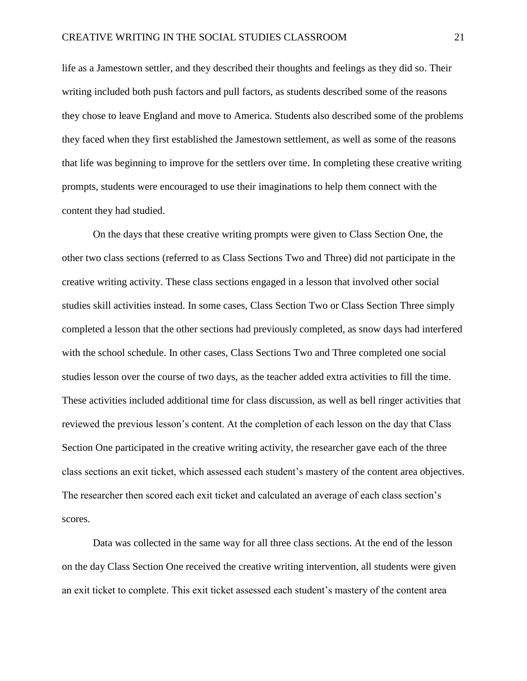life as a Jamestown settler, and they described their thoughts and feelings as they did so. Their writing included both push factors and pull factors, as students described some of the reasons they chose to leave England and move to America. Students also described some of the problems they faced when they first established the Jamestown settlement, as well as some of the reasons that life was beginning to improve for the settlers over time. In completing these creative writing prompts, students were encouraged to use their imaginations to help them connect with the content they had studied.

On the days that these creative writing prompts were given to Class Section One, the other two class sections (referred to as Class Sections Two and Three) did not participate in the creative writing activity. These class sections engaged in a lesson that involved other social studies skill activities instead. In some cases, Class Section Two or Class Section Three simply completed a lesson that the other sections had previously completed, as snow days had interfered with the school schedule. In other cases, Class Sections Two and Three completed one social studies lesson over the course of two days, as the teacher added extra activities to fill the time. These activities included additional time for class discussion, as well as bell ringer activities that reviewed the previous lesson's content. At the completion of each lesson on the day that Class Section One participated in the creative writing activity, the researcher gave each of the three class sections an exit ticket, which assessed each student's mastery of the content area objectives. The researcher then scored each exit ticket and calculated an average of each class section's scores.

Data was collected in the same way for all three class sections. At the end of the lesson on the day Class Section One received the creative writing intervention, all students were given an exit ticket to complete. This exit ticket assessed each student's mastery of the content area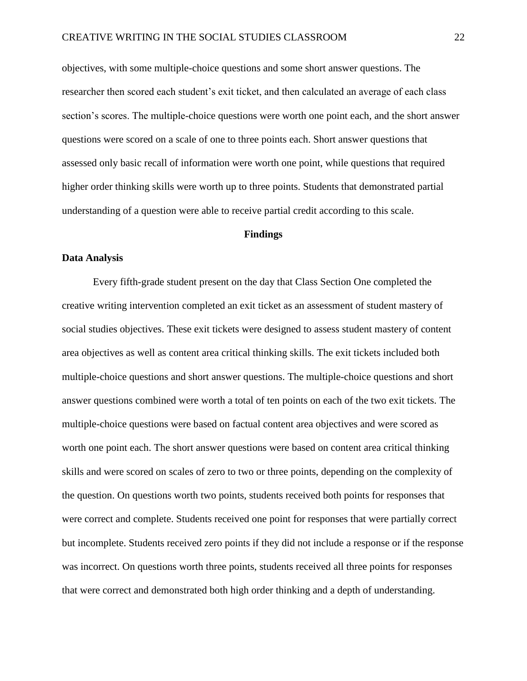objectives, with some multiple-choice questions and some short answer questions. The researcher then scored each student's exit ticket, and then calculated an average of each class section's scores. The multiple-choice questions were worth one point each, and the short answer questions were scored on a scale of one to three points each. Short answer questions that assessed only basic recall of information were worth one point, while questions that required higher order thinking skills were worth up to three points. Students that demonstrated partial understanding of a question were able to receive partial credit according to this scale.

#### **Findings**

#### **Data Analysis**

Every fifth-grade student present on the day that Class Section One completed the creative writing intervention completed an exit ticket as an assessment of student mastery of social studies objectives. These exit tickets were designed to assess student mastery of content area objectives as well as content area critical thinking skills. The exit tickets included both multiple-choice questions and short answer questions. The multiple-choice questions and short answer questions combined were worth a total of ten points on each of the two exit tickets. The multiple-choice questions were based on factual content area objectives and were scored as worth one point each. The short answer questions were based on content area critical thinking skills and were scored on scales of zero to two or three points, depending on the complexity of the question. On questions worth two points, students received both points for responses that were correct and complete. Students received one point for responses that were partially correct but incomplete. Students received zero points if they did not include a response or if the response was incorrect. On questions worth three points, students received all three points for responses that were correct and demonstrated both high order thinking and a depth of understanding.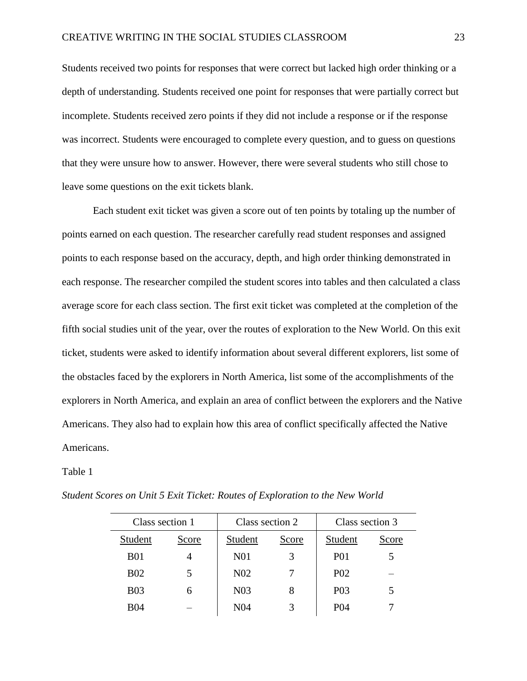Students received two points for responses that were correct but lacked high order thinking or a depth of understanding. Students received one point for responses that were partially correct but incomplete. Students received zero points if they did not include a response or if the response was incorrect. Students were encouraged to complete every question, and to guess on questions that they were unsure how to answer. However, there were several students who still chose to leave some questions on the exit tickets blank.

Each student exit ticket was given a score out of ten points by totaling up the number of points earned on each question. The researcher carefully read student responses and assigned points to each response based on the accuracy, depth, and high order thinking demonstrated in each response. The researcher compiled the student scores into tables and then calculated a class average score for each class section. The first exit ticket was completed at the completion of the fifth social studies unit of the year, over the routes of exploration to the New World. On this exit ticket, students were asked to identify information about several different explorers, list some of the obstacles faced by the explorers in North America, list some of the accomplishments of the explorers in North America, and explain an area of conflict between the explorers and the Native Americans. They also had to explain how this area of conflict specifically affected the Native Americans.

#### Table 1

| Class section 1 |       | Class section 2  |       | Class section 3  |       |
|-----------------|-------|------------------|-------|------------------|-------|
| Student         | Score | Student          | Score | Student          | Score |
| <b>B01</b>      |       | N <sub>0</sub> 1 |       | <b>P01</b>       |       |
| <b>B02</b>      |       | N <sub>0</sub> 2 |       | P <sub>0</sub> 2 |       |
| <b>B03</b>      | 6     | N <sub>03</sub>  | 8     | P <sub>0</sub> 3 |       |
| <b>B04</b>      |       | N <sub>04</sub>  |       | <b>P04</b>       |       |

*Student Scores on Unit 5 Exit Ticket: Routes of Exploration to the New World*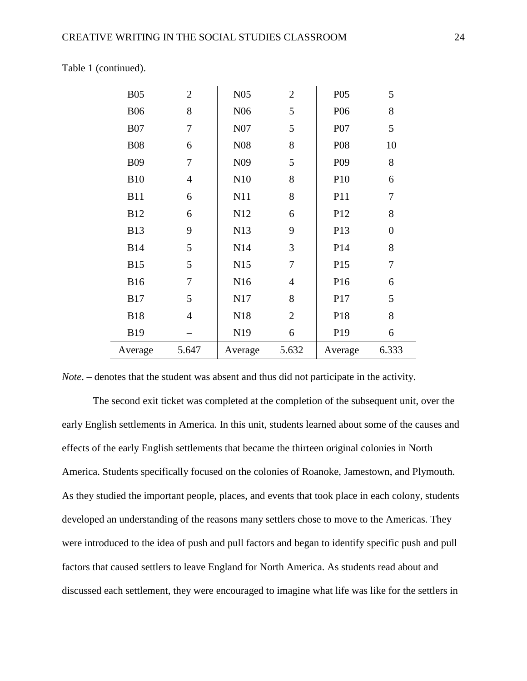| <b>B05</b> | $\overline{2}$ | N05              | $\overline{2}$ | P05             | 5                |
|------------|----------------|------------------|----------------|-----------------|------------------|
| <b>B06</b> | 8              | N <sub>06</sub>  | 5              | P <sub>06</sub> | $8\,$            |
| <b>B07</b> | 7              | N07              | 5              | P07             | 5                |
| <b>B08</b> | 6              | N <sub>0</sub> 8 | 8              | P08             | 10               |
| <b>B09</b> | 7              | N <sub>09</sub>  | 5              | P <sub>09</sub> | $8\,$            |
| <b>B10</b> | $\overline{4}$ | N10              | 8              | P10             | 6                |
| <b>B11</b> | 6              | N11              | 8              | P11             | $\tau$           |
| <b>B12</b> | 6              | N12              | 6              | P12             | 8                |
| <b>B13</b> | 9              | N13              | 9              | P13             | $\boldsymbol{0}$ |
| <b>B14</b> | 5              | N14              | 3              | P14             | 8                |
| <b>B15</b> | 5              | N15              | 7              | P15             | 7                |
| <b>B16</b> | 7              | N <sub>16</sub>  | $\overline{4}$ | P16             | 6                |
| <b>B17</b> | 5              | N17              | 8              | P17             | 5                |
| <b>B18</b> | 4              | N18              | $\overline{2}$ | P18             | 8                |
| <b>B19</b> |                | N19              | 6              | P <sub>19</sub> | 6                |
| Average    | 5.647          | Average          | 5.632          | Average         | 6.333            |
|            |                |                  |                |                 |                  |

Table 1 (continued).

*Note*. – denotes that the student was absent and thus did not participate in the activity.

The second exit ticket was completed at the completion of the subsequent unit, over the early English settlements in America. In this unit, students learned about some of the causes and effects of the early English settlements that became the thirteen original colonies in North America. Students specifically focused on the colonies of Roanoke, Jamestown, and Plymouth. As they studied the important people, places, and events that took place in each colony, students developed an understanding of the reasons many settlers chose to move to the Americas. They were introduced to the idea of push and pull factors and began to identify specific push and pull factors that caused settlers to leave England for North America. As students read about and discussed each settlement, they were encouraged to imagine what life was like for the settlers in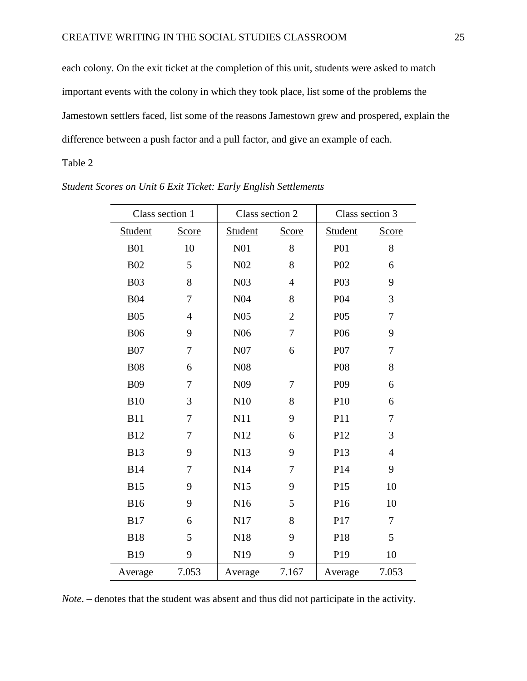each colony. On the exit ticket at the completion of this unit, students were asked to match important events with the colony in which they took place, list some of the problems the Jamestown settlers faced, list some of the reasons Jamestown grew and prospered, explain the difference between a push factor and a pull factor, and give an example of each.

#### Table 2

| Class section 1 |                | Class section 2  |                | Class section 3 |                |
|-----------------|----------------|------------------|----------------|-----------------|----------------|
| Student         | Score          | Student          | Score          | Student         | Score          |
| <b>B01</b>      | 10             | N <sub>01</sub>  | 8              | P <sub>01</sub> | 8              |
| <b>B02</b>      | 5              | N <sub>0</sub> 2 | 8              | P <sub>02</sub> | 6              |
| <b>B03</b>      | 8              | N <sub>03</sub>  | $\overline{4}$ | P03             | 9              |
| <b>B04</b>      | 7              | N <sub>04</sub>  | 8              | P <sub>04</sub> | 3              |
| <b>B05</b>      | $\overline{4}$ | N <sub>05</sub>  | $\overline{2}$ | P05             | $\tau$         |
| <b>B06</b>      | 9              | N <sub>06</sub>  | $\overline{7}$ | P <sub>06</sub> | 9              |
| <b>B07</b>      | 7              | N07              | 6              | P07             | 7              |
| <b>B08</b>      | 6              | N <sub>08</sub>  |                | P08             | 8              |
| <b>B09</b>      | 7              | N <sub>09</sub>  | 7              | P <sub>09</sub> | 6              |
| <b>B10</b>      | 3              | N10              | 8              | P10             | 6              |
| <b>B11</b>      | $\tau$         | N11              | 9              | P11             | $\tau$         |
| <b>B12</b>      | 7              | N12              | 6              | P12             | 3              |
| <b>B13</b>      | 9              | N13              | 9              | P13             | $\overline{4}$ |
| <b>B14</b>      | $\tau$         | N14              | $\overline{7}$ | P14             | 9              |
| <b>B15</b>      | 9              | N15              | 9              | P15             | 10             |
| <b>B16</b>      | 9              | N <sub>16</sub>  | 5              | P16             | 10             |
| <b>B17</b>      | 6              | N17              | 8              | P17             | $\overline{7}$ |
| <b>B18</b>      | 5              | N18              | 9              | P18             | 5              |
| <b>B19</b>      | 9              | N19              | 9              | P19             | 10             |
| Average         | 7.053          | Average          | 7.167          | Average         | 7.053          |

*Student Scores on Unit 6 Exit Ticket: Early English Settlements*

*Note*. – denotes that the student was absent and thus did not participate in the activity.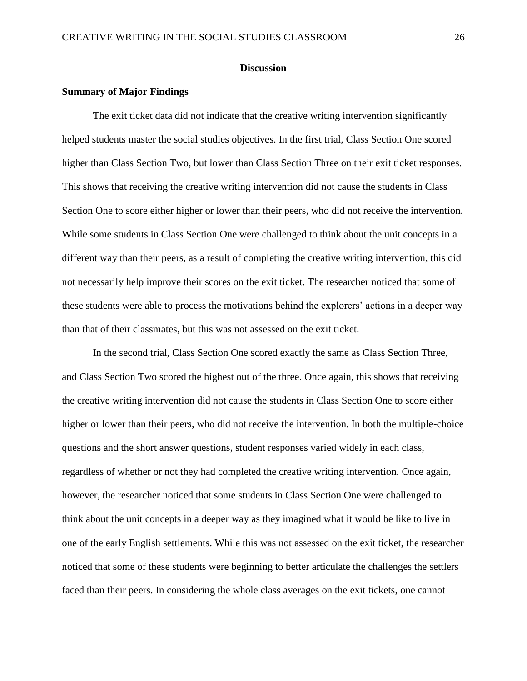#### **Discussion**

#### **Summary of Major Findings**

The exit ticket data did not indicate that the creative writing intervention significantly helped students master the social studies objectives. In the first trial, Class Section One scored higher than Class Section Two, but lower than Class Section Three on their exit ticket responses. This shows that receiving the creative writing intervention did not cause the students in Class Section One to score either higher or lower than their peers, who did not receive the intervention. While some students in Class Section One were challenged to think about the unit concepts in a different way than their peers, as a result of completing the creative writing intervention, this did not necessarily help improve their scores on the exit ticket. The researcher noticed that some of these students were able to process the motivations behind the explorers' actions in a deeper way than that of their classmates, but this was not assessed on the exit ticket.

In the second trial, Class Section One scored exactly the same as Class Section Three, and Class Section Two scored the highest out of the three. Once again, this shows that receiving the creative writing intervention did not cause the students in Class Section One to score either higher or lower than their peers, who did not receive the intervention. In both the multiple-choice questions and the short answer questions, student responses varied widely in each class, regardless of whether or not they had completed the creative writing intervention. Once again, however, the researcher noticed that some students in Class Section One were challenged to think about the unit concepts in a deeper way as they imagined what it would be like to live in one of the early English settlements. While this was not assessed on the exit ticket, the researcher noticed that some of these students were beginning to better articulate the challenges the settlers faced than their peers. In considering the whole class averages on the exit tickets, one cannot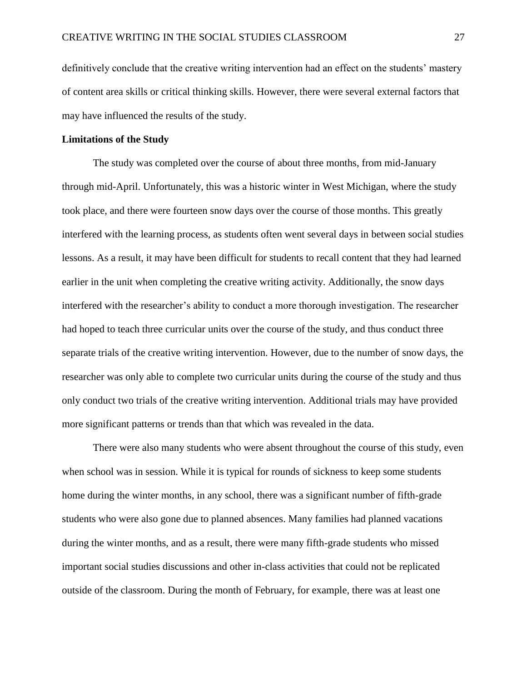definitively conclude that the creative writing intervention had an effect on the students' mastery of content area skills or critical thinking skills. However, there were several external factors that may have influenced the results of the study.

#### **Limitations of the Study**

The study was completed over the course of about three months, from mid-January through mid-April. Unfortunately, this was a historic winter in West Michigan, where the study took place, and there were fourteen snow days over the course of those months. This greatly interfered with the learning process, as students often went several days in between social studies lessons. As a result, it may have been difficult for students to recall content that they had learned earlier in the unit when completing the creative writing activity. Additionally, the snow days interfered with the researcher's ability to conduct a more thorough investigation. The researcher had hoped to teach three curricular units over the course of the study, and thus conduct three separate trials of the creative writing intervention. However, due to the number of snow days, the researcher was only able to complete two curricular units during the course of the study and thus only conduct two trials of the creative writing intervention. Additional trials may have provided more significant patterns or trends than that which was revealed in the data.

There were also many students who were absent throughout the course of this study, even when school was in session. While it is typical for rounds of sickness to keep some students home during the winter months, in any school, there was a significant number of fifth-grade students who were also gone due to planned absences. Many families had planned vacations during the winter months, and as a result, there were many fifth-grade students who missed important social studies discussions and other in-class activities that could not be replicated outside of the classroom. During the month of February, for example, there was at least one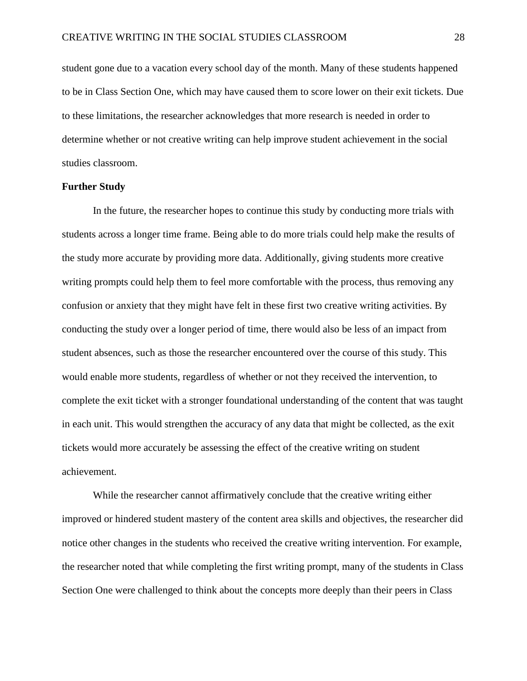student gone due to a vacation every school day of the month. Many of these students happened to be in Class Section One, which may have caused them to score lower on their exit tickets. Due to these limitations, the researcher acknowledges that more research is needed in order to determine whether or not creative writing can help improve student achievement in the social studies classroom.

#### **Further Study**

In the future, the researcher hopes to continue this study by conducting more trials with students across a longer time frame. Being able to do more trials could help make the results of the study more accurate by providing more data. Additionally, giving students more creative writing prompts could help them to feel more comfortable with the process, thus removing any confusion or anxiety that they might have felt in these first two creative writing activities. By conducting the study over a longer period of time, there would also be less of an impact from student absences, such as those the researcher encountered over the course of this study. This would enable more students, regardless of whether or not they received the intervention, to complete the exit ticket with a stronger foundational understanding of the content that was taught in each unit. This would strengthen the accuracy of any data that might be collected, as the exit tickets would more accurately be assessing the effect of the creative writing on student achievement.

While the researcher cannot affirmatively conclude that the creative writing either improved or hindered student mastery of the content area skills and objectives, the researcher did notice other changes in the students who received the creative writing intervention. For example, the researcher noted that while completing the first writing prompt, many of the students in Class Section One were challenged to think about the concepts more deeply than their peers in Class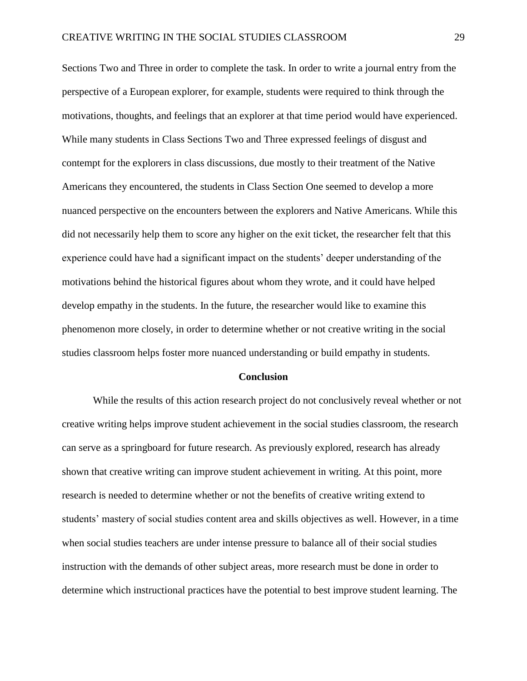Sections Two and Three in order to complete the task. In order to write a journal entry from the perspective of a European explorer, for example, students were required to think through the motivations, thoughts, and feelings that an explorer at that time period would have experienced. While many students in Class Sections Two and Three expressed feelings of disgust and contempt for the explorers in class discussions, due mostly to their treatment of the Native Americans they encountered, the students in Class Section One seemed to develop a more nuanced perspective on the encounters between the explorers and Native Americans. While this did not necessarily help them to score any higher on the exit ticket, the researcher felt that this experience could have had a significant impact on the students' deeper understanding of the motivations behind the historical figures about whom they wrote, and it could have helped develop empathy in the students. In the future, the researcher would like to examine this phenomenon more closely, in order to determine whether or not creative writing in the social studies classroom helps foster more nuanced understanding or build empathy in students.

#### **Conclusion**

While the results of this action research project do not conclusively reveal whether or not creative writing helps improve student achievement in the social studies classroom, the research can serve as a springboard for future research. As previously explored, research has already shown that creative writing can improve student achievement in writing. At this point, more research is needed to determine whether or not the benefits of creative writing extend to students' mastery of social studies content area and skills objectives as well. However, in a time when social studies teachers are under intense pressure to balance all of their social studies instruction with the demands of other subject areas, more research must be done in order to determine which instructional practices have the potential to best improve student learning. The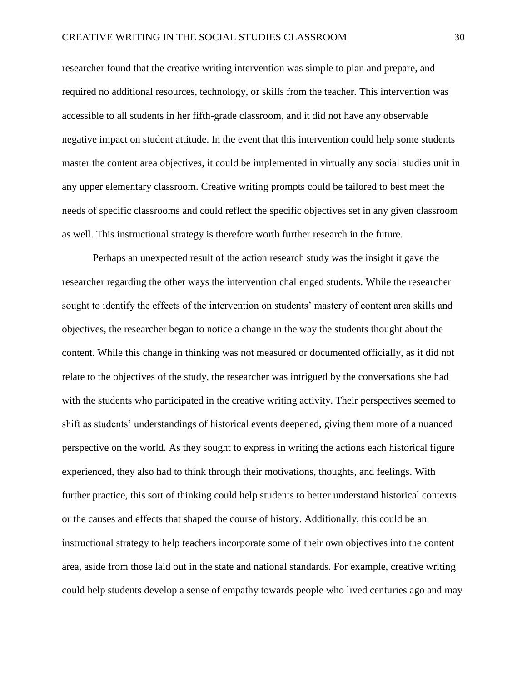researcher found that the creative writing intervention was simple to plan and prepare, and required no additional resources, technology, or skills from the teacher. This intervention was accessible to all students in her fifth-grade classroom, and it did not have any observable negative impact on student attitude. In the event that this intervention could help some students master the content area objectives, it could be implemented in virtually any social studies unit in any upper elementary classroom. Creative writing prompts could be tailored to best meet the needs of specific classrooms and could reflect the specific objectives set in any given classroom as well. This instructional strategy is therefore worth further research in the future.

Perhaps an unexpected result of the action research study was the insight it gave the researcher regarding the other ways the intervention challenged students. While the researcher sought to identify the effects of the intervention on students' mastery of content area skills and objectives, the researcher began to notice a change in the way the students thought about the content. While this change in thinking was not measured or documented officially, as it did not relate to the objectives of the study, the researcher was intrigued by the conversations she had with the students who participated in the creative writing activity. Their perspectives seemed to shift as students' understandings of historical events deepened, giving them more of a nuanced perspective on the world. As they sought to express in writing the actions each historical figure experienced, they also had to think through their motivations, thoughts, and feelings. With further practice, this sort of thinking could help students to better understand historical contexts or the causes and effects that shaped the course of history. Additionally, this could be an instructional strategy to help teachers incorporate some of their own objectives into the content area, aside from those laid out in the state and national standards. For example, creative writing could help students develop a sense of empathy towards people who lived centuries ago and may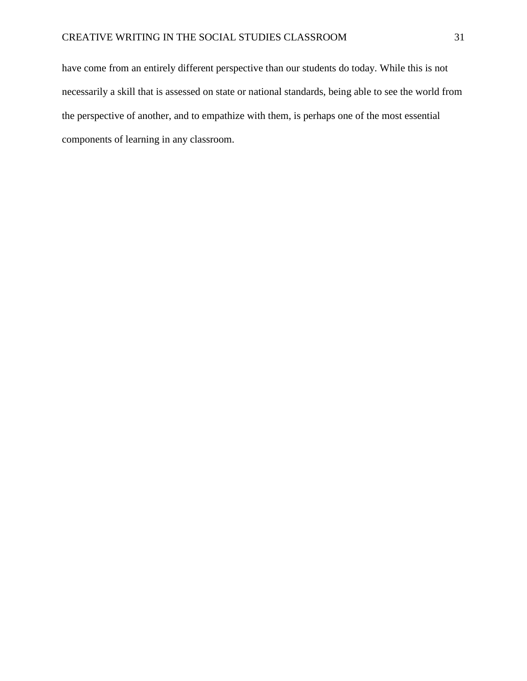have come from an entirely different perspective than our students do today. While this is not necessarily a skill that is assessed on state or national standards, being able to see the world from the perspective of another, and to empathize with them, is perhaps one of the most essential components of learning in any classroom.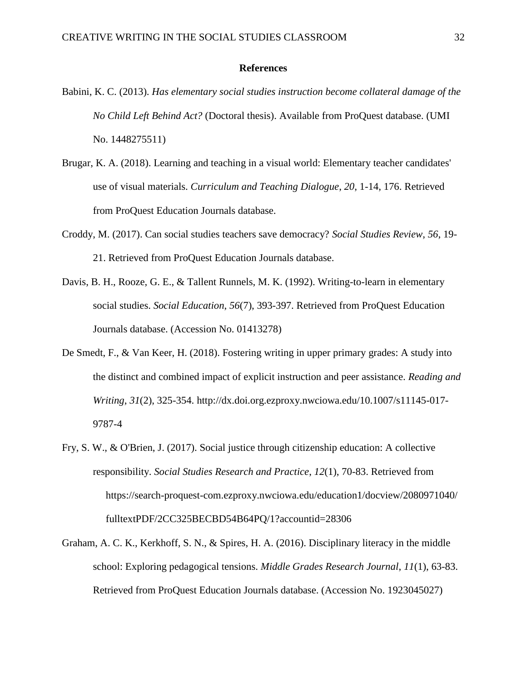#### **References**

- Babini, K. C. (2013). *Has elementary social studies instruction become collateral damage of the No Child Left Behind Act?* (Doctoral thesis). Available from ProQuest database. (UMI No. 1448275511)
- Brugar, K. A. (2018). Learning and teaching in a visual world: Elementary teacher candidates' use of visual materials. *Curriculum and Teaching Dialogue*, *20*, 1-14, 176. Retrieved from ProQuest Education Journals database.
- Croddy, M. (2017). Can social studies teachers save democracy? *Social Studies Review*, *56*, 19- 21. Retrieved from ProQuest Education Journals database.
- Davis, B. H., Rooze, G. E., & Tallent Runnels, M. K. (1992). Writing-to-learn in elementary social studies. *Social Education*, *56*(7), 393-397. Retrieved from ProQuest Education Journals database. (Accession No. 01413278)
- De Smedt, F., & Van Keer, H. (2018). Fostering writing in upper primary grades: A study into the distinct and combined impact of explicit instruction and peer assistance. *Reading and Writing*, *31*(2), 325-354. http://dx.doi.org.ezproxy.nwciowa.edu/10.1007/s11145-017- 9787-4
- Fry, S. W., & O'Brien, J. (2017). Social justice through citizenship education: A collective responsibility. *Social Studies Research and Practice*, *12*(1), 70-83. Retrieved from https://search-proquest-com.ezproxy.nwciowa.edu/education1/docview/2080971040/ fulltextPDF/2CC325BECBD54B64PQ/1?accountid=28306
- Graham, A. C. K., Kerkhoff, S. N., & Spires, H. A. (2016). Disciplinary literacy in the middle school: Exploring pedagogical tensions. *Middle Grades Research Journal*, *11*(1), 63-83. Retrieved from ProQuest Education Journals database. (Accession No. 1923045027)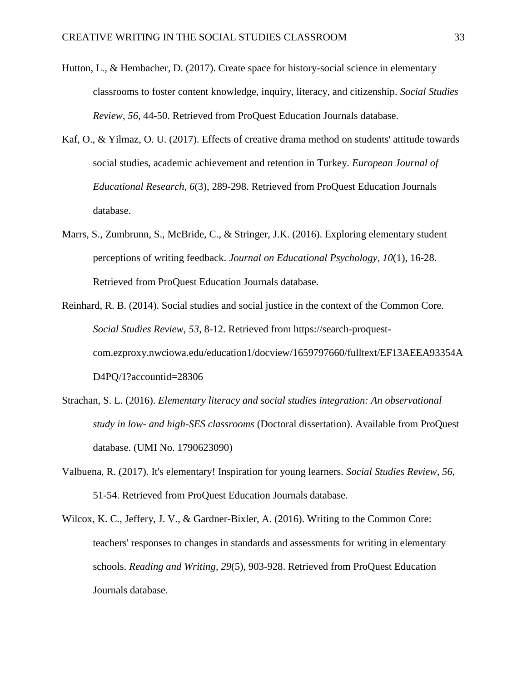- Hutton, L., & Hembacher, D. (2017). Create space for history-social science in elementary classrooms to foster content knowledge, inquiry, literacy, and citizenship. *Social Studies Review*, *56*, 44-50. Retrieved from ProQuest Education Journals database.
- Kaf, O., & Yilmaz, O. U. (2017). Effects of creative drama method on students' attitude towards social studies, academic achievement and retention in Turkey. *European Journal of Educational Research*, *6*(3), 289-298. Retrieved from ProQuest Education Journals database.
- Marrs, S., Zumbrunn, S., McBride, C., & Stringer, J.K. (2016). Exploring elementary student perceptions of writing feedback. *Journal on Educational Psychology*, *10*(1), 16-28. Retrieved from ProQuest Education Journals database.
- Reinhard, R. B. (2014). Social studies and social justice in the context of the Common Core. *Social Studies Review*, *53*, 8-12. Retrieved from https://search-proquestcom.ezproxy.nwciowa.edu/education1/docview/1659797660/fulltext/EF13AEEA93354A D4PQ/1?accountid=28306
- Strachan, S. L. (2016). *Elementary literacy and social studies integration: An observational study in low- and high-SES classrooms* (Doctoral dissertation). Available from ProQuest database. (UMI No. 1790623090)
- Valbuena, R. (2017). It's elementary! Inspiration for young learners. *Social Studies Review*, *56*, 51-54. Retrieved from ProQuest Education Journals database.
- Wilcox, K. C., Jeffery, J. V., & Gardner-Bixler, A. (2016). Writing to the Common Core: teachers' responses to changes in standards and assessments for writing in elementary schools. *Reading and Writing*, *29*(5), 903-928. Retrieved from ProQuest Education Journals database.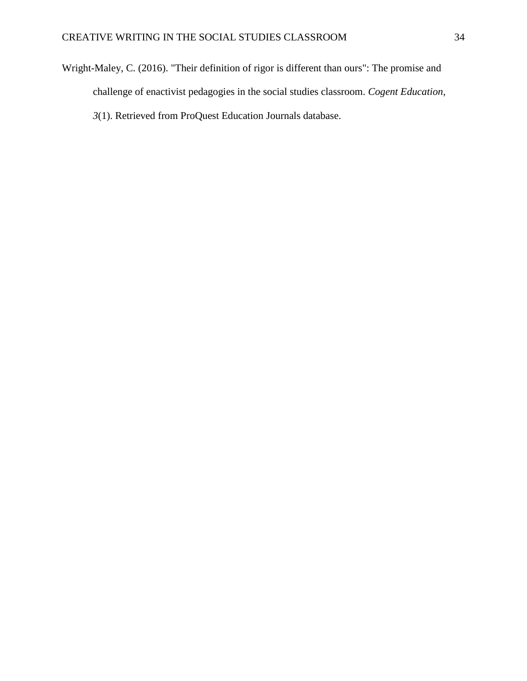Wright-Maley, C. (2016). "Their definition of rigor is different than ours": The promise and challenge of enactivist pedagogies in the social studies classroom. *Cogent Education*, *3*(1). Retrieved from ProQuest Education Journals database.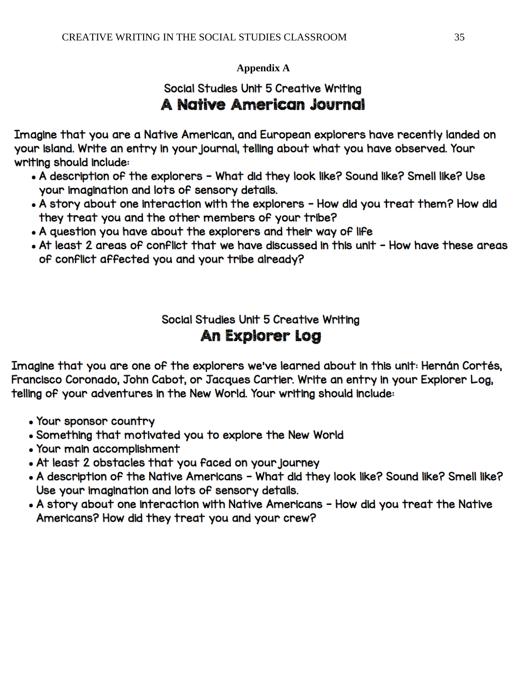## **Appendix A**

# Social Studies Unit 5 Creative Writing A Native American Journal

Imagine that you are a Native American, and European explorers have recently landed on your island. Write an entry in your journal, telling about what you have observed. Your writing should include:

- . A description of the explorers What did they look like? Sound like? Smell like? Use your imagination and lots of sensory details.
- . A story about one interaction with the explorers How did you treat them? How did they treat you and the other members of your tribe?
- A question you have about the explorers and their way of life
- At least 2 areas of conflict that we have discussed in this unit How have these areas of conflict affected you and your tribe already?

Social Studies Unit 5 Creative Writing An Explorer Log

Imagine that you are one of the explorers we've learned about in this unit: Hernán Cortés, Francisco Coronado, John Cabot, or Jacques Cartier. Write an entry in your Explorer Log, telling of your adventures in the New World. Your writing should include:

- Your sponsor country
- . Something that motivated you to explore the New World
- Your main accomplishment
- . At least 2 obstacles that you faced on your journey
- . A description of the Native Americans What did they look like? Sound like? Smell like? Use your imagination and lots of sensory details.
- A story about one interaction with Native Americans How did you treat the Native Americans? How did they treat you and your crew?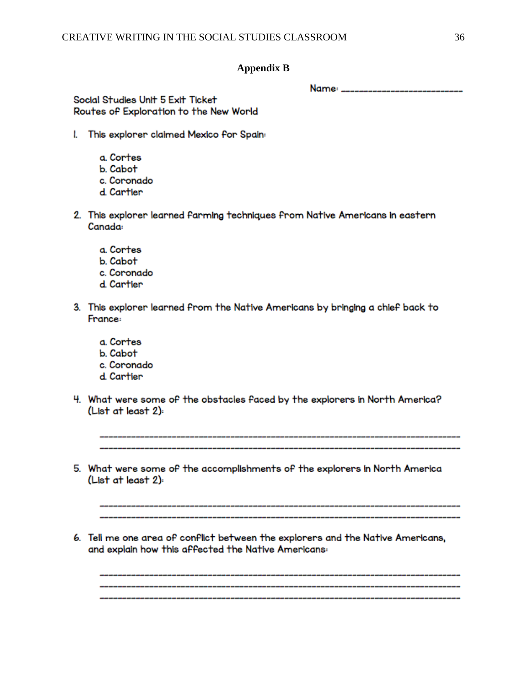#### **Appendix B**

Name: \_\_\_\_\_\_\_\_\_\_\_\_\_\_\_\_\_\_\_\_\_\_\_\_\_\_\_

Social Studies Unit 5 Exit Ticket Routes of Exploration to the New World

- I. This explorer claimed Mexico for Spain:
	- a. Cortes
	- **b** Cabot
	- c. Coronado
	- d. Cartier
- 2. This explorer learned farming techniques from Native Americans in eastern Canada:
	- a. Cortes
	- b. Cabot
	- c. Coronado
	- d. Cartier
- 3. This explorer learned from the Native Americans by bringing a chief back to France:
	- a. Cortes
	- b. Cabot
	- c. Coronado
	- d. Cartier
- 4. What were some of the obstacles faced by the explorers in North America? (List at least 2):

5. What were some of the accomplishments of the explorers in North America (List at least 2):

6. Tell me one area of conflict between the explorers and the Native Americans, and explain how this affected the Native Americans: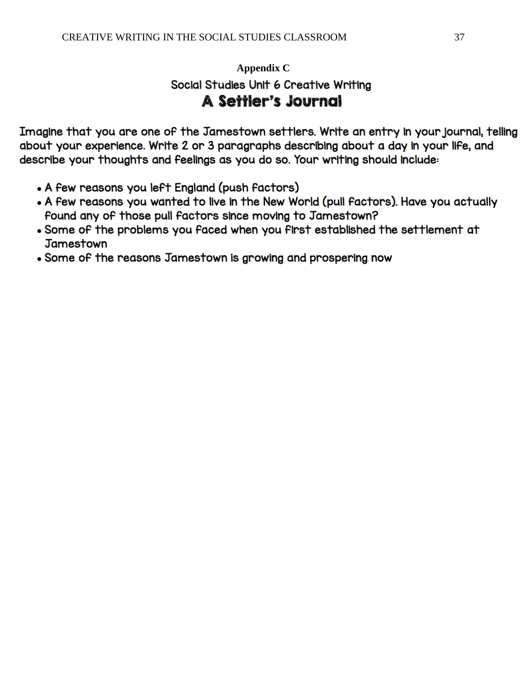# **Appendix C**Social Studies Unit 6 Creative Writing **A Settler's Journal**

Imagine that you are one of the Jamestown settlers. Write an entry in your journal, telling about your experience. Write 2 or 3 paragraphs describing about a day in your life, and describe your thoughts and feelings as you do so. Your writing should include:

- A few reasons you left England (push factors)
- . A few reasons you wanted to live in the New World (pull factors). Have you actually found any of those pull factors since moving to Jamestown?
- . Some of the problems you faced when you first established the settlement at **Jamestown**
- Some of the reasons Jamestown is growing and prospering now